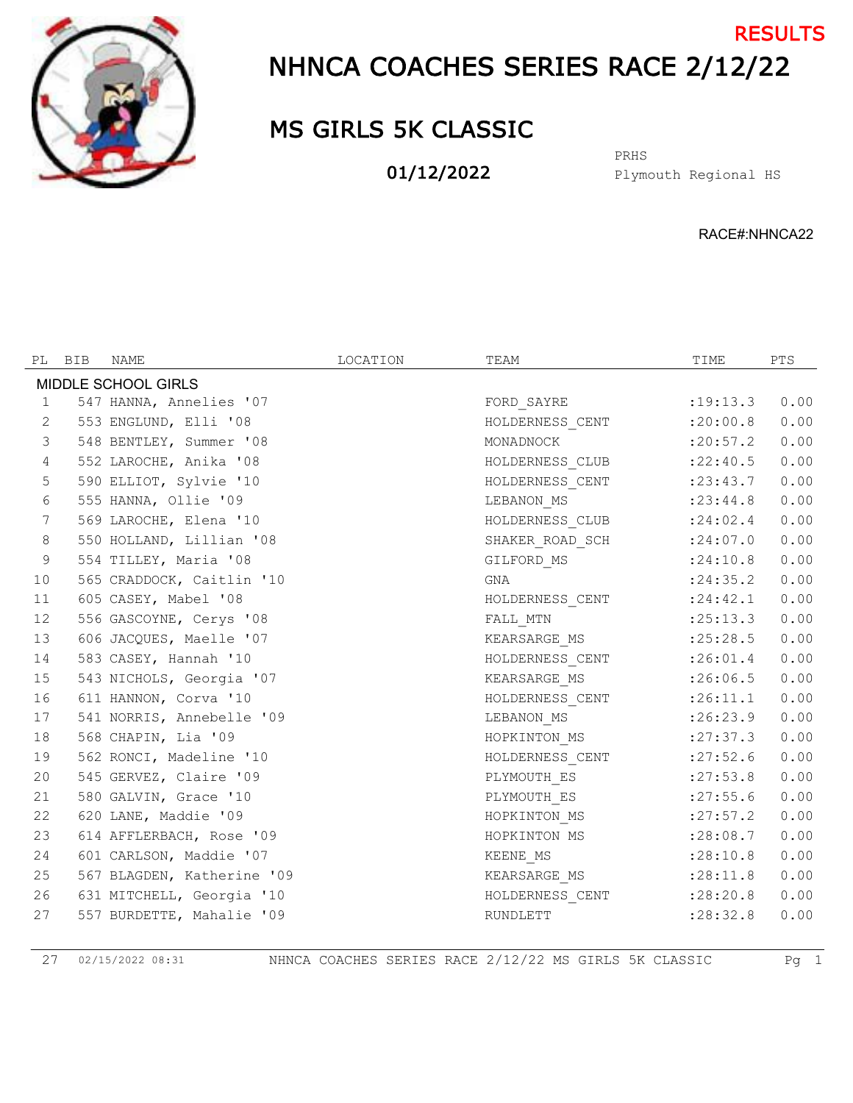

## NHNCA COACHES SERIES RACE 2/12/22 **RESULTS**

## MS GIRLS 5K CLASSIC

01/12/2022

Plymouth Regional HS PRHS

RACE#:NHNCA22

|                     | PL BIB | NAME                       | LOCATION | TEAM                      | TIME       | PTS  |  |  |
|---------------------|--------|----------------------------|----------|---------------------------|------------|------|--|--|
| MIDDLE SCHOOL GIRLS |        |                            |          |                           |            |      |  |  |
| $\mathbf{1}$        |        | 547 HANNA, Annelies '07    |          | FORD SAYRE                | :19:13.3   | 0.00 |  |  |
| 2                   |        | 553 ENGLUND, Elli '08      |          | HOLDERNESS CENT           | :20:00.8   | 0.00 |  |  |
| 3                   |        | 548 BENTLEY, Summer '08    |          | MONADNOCK                 | :20:57.2   | 0.00 |  |  |
| $\overline{4}$      |        | 552 LAROCHE, Anika '08     |          | HOLDERNESS CLUB           | : 22: 40.5 | 0.00 |  |  |
| 5                   |        | 590 ELLIOT, Sylvie '10     |          | HOLDERNESS CENT           | : 23: 43.7 | 0.00 |  |  |
| 6                   |        | 555 HANNA, Ollie '09       |          | LEBANON_MS                | : 23: 44.8 | 0.00 |  |  |
| $7\phantom{.0}$     |        | 569 LAROCHE, Elena '10     |          | HOLDERNESS CLUB : 24:02.4 |            | 0.00 |  |  |
| $\,8\,$             |        | 550 HOLLAND, Lillian '08   |          | SHAKER ROAD SCH : 24:07.0 |            | 0.00 |  |  |
| $\mathcal{G}$       |        | 554 TILLEY, Maria '08      |          | GILFORD_MS                | : 24:10.8  | 0.00 |  |  |
| 10                  |        | 565 CRADDOCK, Caitlin '10  |          | GNA                       | : 24:35.2  | 0.00 |  |  |
| 11                  |        | 605 CASEY, Mabel '08       |          | HOLDERNESS CENT : 24:42.1 |            | 0.00 |  |  |
| 12                  |        | 556 GASCOYNE, Cerys '08    |          | FALL MTN                  | :25:13.3   | 0.00 |  |  |
| 13                  |        | 606 JACQUES, Maelle '07    |          | KEARSARGE MS              | :25:28.5   | 0.00 |  |  |
| 14                  |        | 583 CASEY, Hannah '10      |          | HOLDERNESS_CENT :26:01.4  |            | 0.00 |  |  |
| 15                  |        | 543 NICHOLS, Georgia '07   |          | KEARSARGE_MS              | :26:06.5   | 0.00 |  |  |
| 16                  |        | 611 HANNON, Corva '10      |          | HOLDERNESS CENT           | :26:11.1   | 0.00 |  |  |
| 17                  |        | 541 NORRIS, Annebelle '09  |          | LEBANON_MS                | :26:23.9   | 0.00 |  |  |
| 18                  |        | 568 CHAPIN, Lia '09        |          | HOPKINTON_MS              | : 27: 37.3 | 0.00 |  |  |
| 19                  |        | 562 RONCI, Madeline '10    |          | HOLDERNESS CENT           | : 27:52.6  | 0.00 |  |  |
| 20                  |        | 545 GERVEZ, Claire '09     |          | PLYMOUTH_ES               | : 27:53.8  | 0.00 |  |  |
| 21                  |        | 580 GALVIN, Grace '10      |          | PLYMOUTH ES               | : 27:55.6  | 0.00 |  |  |
| 22                  |        | 620 LANE, Maddie '09       |          | HOPKINTON_MS              | : 27: 57.2 | 0.00 |  |  |
| 23                  |        | 614 AFFLERBACH, Rose '09   |          | HOPKINTON MS              | : 28:08.7  | 0.00 |  |  |
| 24                  |        | 601 CARLSON, Maddie '07    |          | KEENE_MS                  | :28:10.8   | 0.00 |  |  |
| 25                  |        | 567 BLAGDEN, Katherine '09 |          | KEARSARGE MS              | : 28:11.8  | 0.00 |  |  |
| 26                  |        | 631 MITCHELL, Georgia '10  |          | HOLDERNESS_CENT           | : 28: 20.8 | 0.00 |  |  |
| 27                  |        | 557 BURDETTE, Mahalie '09  |          | RUNDLETT                  | : 28:32.8  | 0.00 |  |  |

02/15/2022 08:31 NHNCA COACHES SERIES RACE 2/12/22 MS GIRLS 5K CLASSIC Pg 1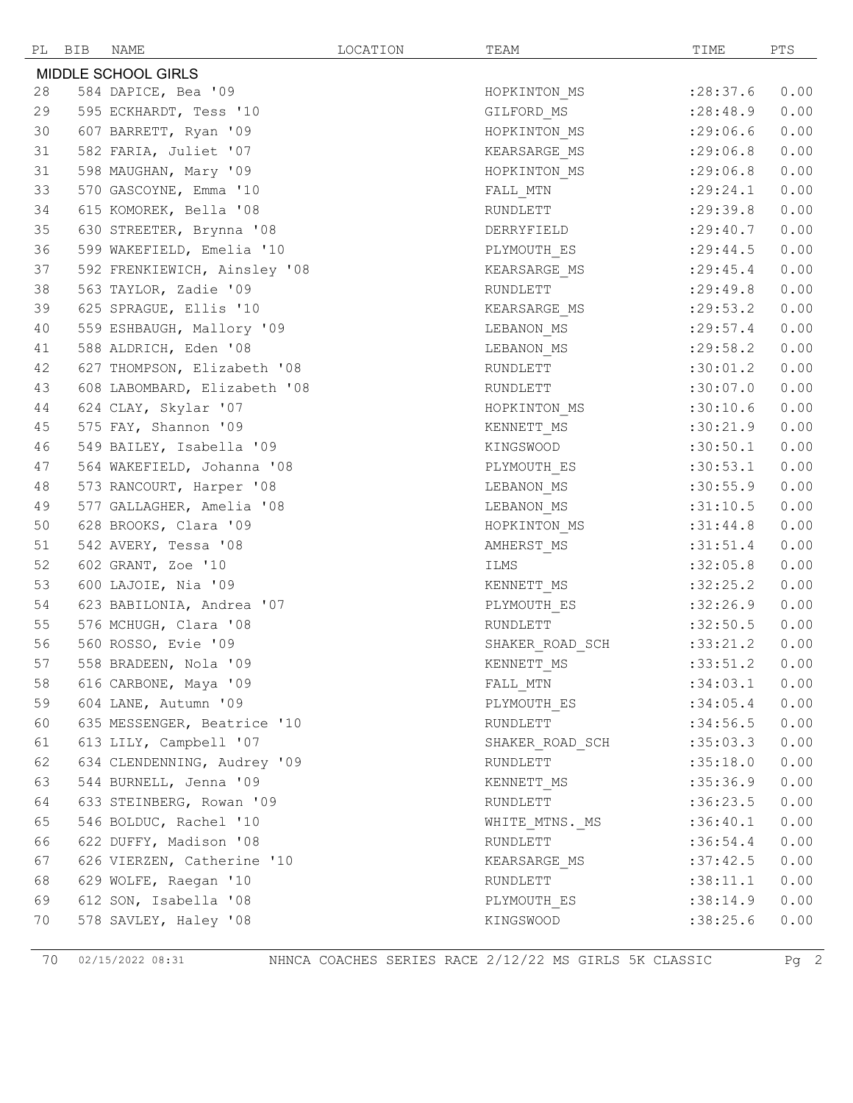|                     | PL BIB | NAME                         | LOCATION | TEAM            | TIME            | PTS  |  |
|---------------------|--------|------------------------------|----------|-----------------|-----------------|------|--|
| MIDDLE SCHOOL GIRLS |        |                              |          |                 |                 |      |  |
| 28                  |        | 584 DAPICE, Bea '09          |          | HOPKINTON_MS    | : 28:37.6       | 0.00 |  |
| 29                  |        | 595 ECKHARDT, Tess '10       |          | GILFORD_MS      | : 28:48.9       | 0.00 |  |
| 30                  |        | 607 BARRETT, Ryan '09        |          | HOPKINTON_MS    | : 29:06.6       | 0.00 |  |
| 31                  |        | 582 FARIA, Juliet '07        |          | KEARSARGE_MS    | : 29:06.8       | 0.00 |  |
| 31                  |        | 598 MAUGHAN, Mary '09        |          | HOPKINTON_MS    | :29:06.8        | 0.00 |  |
| 33                  |        | 570 GASCOYNE, Emma '10       |          | FALL_MTN        | : 29: 24.1      | 0.00 |  |
| 34                  |        | 615 KOMOREK, Bella '08       |          | RUNDLETT        | : 29:39.8       | 0.00 |  |
| 35                  |        | 630 STREETER, Brynna '08     |          | DERRYFIELD      | : 29: 40.7      | 0.00 |  |
| 36                  |        | 599 WAKEFIELD, Emelia '10    |          | PLYMOUTH_ES     | : 29:44.5       | 0.00 |  |
| 37                  |        | 592 FRENKIEWICH, Ainsley '08 |          | KEARSARGE_MS    | : 29: 45.4      | 0.00 |  |
| 38                  |        | 563 TAYLOR, Zadie '09        |          | RUNDLETT        | : 29: 49.8      | 0.00 |  |
| 39                  |        | 625 SPRAGUE, Ellis '10       |          | KEARSARGE MS    | : 29:53.2       | 0.00 |  |
| 40                  |        | 559 ESHBAUGH, Mallory '09    |          | LEBANON_MS      | : 29:57.4       | 0.00 |  |
| 41                  |        | 588 ALDRICH, Eden '08        |          | LEBANON MS      | : 29:58.2       | 0.00 |  |
| 42                  |        | 627 THOMPSON, Elizabeth '08  |          | RUNDLETT        | :30:01.2        | 0.00 |  |
| 43                  |        | 608 LABOMBARD, Elizabeth '08 |          | RUNDLETT        | :30:07.0        | 0.00 |  |
| 44                  |        | 624 CLAY, Skylar '07         |          | HOPKINTON_MS    | :30:10.6        | 0.00 |  |
| 45                  |        | 575 FAY, Shannon '09         |          | KENNETT MS      | :30:21.9        | 0.00 |  |
| 46                  |        | 549 BAILEY, Isabella '09     |          | KINGSWOOD       | :30:50.1        | 0.00 |  |
| 47                  |        | 564 WAKEFIELD, Johanna '08   |          | PLYMOUTH_ES     | :30:53.1        | 0.00 |  |
| 48                  |        | 573 RANCOURT, Harper '08     |          | LEBANON_MS      | :30:55.9        | 0.00 |  |
| 49                  |        | 577 GALLAGHER, Amelia '08    |          | LEBANON_MS      | :31:10.5        | 0.00 |  |
| 50                  |        | 628 BROOKS, Clara '09        |          | HOPKINTON_MS    | :31:44.8        | 0.00 |  |
| 51                  |        | 542 AVERY, Tessa '08         |          | AMHERST MS      | :31:51.4        | 0.00 |  |
| 52                  |        | 602 GRANT, Zoe '10           |          | ILMS            | :32:05.8        | 0.00 |  |
| 53                  |        | 600 LAJOIE, Nia '09          |          | KENNETT_MS      | :32:25.2        | 0.00 |  |
| 54                  |        | 623 BABILONIA, Andrea '07    |          | PLYMOUTH_ES     | :32:26.9        | 0.00 |  |
| 55                  |        | 576 MCHUGH, Clara '08        |          | RUNDLETT        | :32:50.5        | 0.00 |  |
| 56                  |        | 560 ROSSO, Evie '09          |          | SHAKER ROAD SCH | :33:21.2        | 0.00 |  |
| 57                  |        | 558 BRADEEN, Nola '09        |          | KENNETT MS      | $:33:51.2$ 0.00 |      |  |
| 58                  |        | 616 CARBONE, Maya '09        |          | FALL MTN        | :34:03.1        | 0.00 |  |
| 59                  |        | 604 LANE, Autumn '09         |          | PLYMOUTH ES     | :34:05.4        | 0.00 |  |
| 60                  |        | 635 MESSENGER, Beatrice '10  |          | RUNDLETT        | :34:56.5        | 0.00 |  |
| 61                  |        | 613 LILY, Campbell '07       |          | SHAKER_ROAD_SCH | :35:03.3        | 0.00 |  |
| 62                  |        | 634 CLENDENNING, Audrey '09  |          | RUNDLETT        | :35:18.0        | 0.00 |  |
| 63                  |        | 544 BURNELL, Jenna '09       |          | KENNETT MS      | :35:36.9        | 0.00 |  |
| 64                  |        | 633 STEINBERG, Rowan '09     |          | RUNDLETT        | :36:23.5        | 0.00 |  |
| 65                  |        | 546 BOLDUC, Rachel '10       |          | WHITE MTNS. MS  | :36:40.1        | 0.00 |  |
| 66                  |        | 622 DUFFY, Madison '08       |          | RUNDLETT        | :36:54.4        | 0.00 |  |
| 67                  |        | 626 VIERZEN, Catherine '10   |          | KEARSARGE MS    | :37:42.5        | 0.00 |  |
| 68                  |        | 629 WOLFE, Raegan '10        |          | RUNDLETT        | :38:11.1        | 0.00 |  |
| 69                  |        | 612 SON, Isabella '08        |          | PLYMOUTH ES     | :38:14.9        | 0.00 |  |
| 70                  |        | 578 SAVLEY, Haley '08        |          | KINGSWOOD       | :38:25.6        | 0.00 |  |

02/15/2022 08:31 NHNCA COACHES SERIES RACE 2/12/22 MS GIRLS 5K CLASSIC Pg 2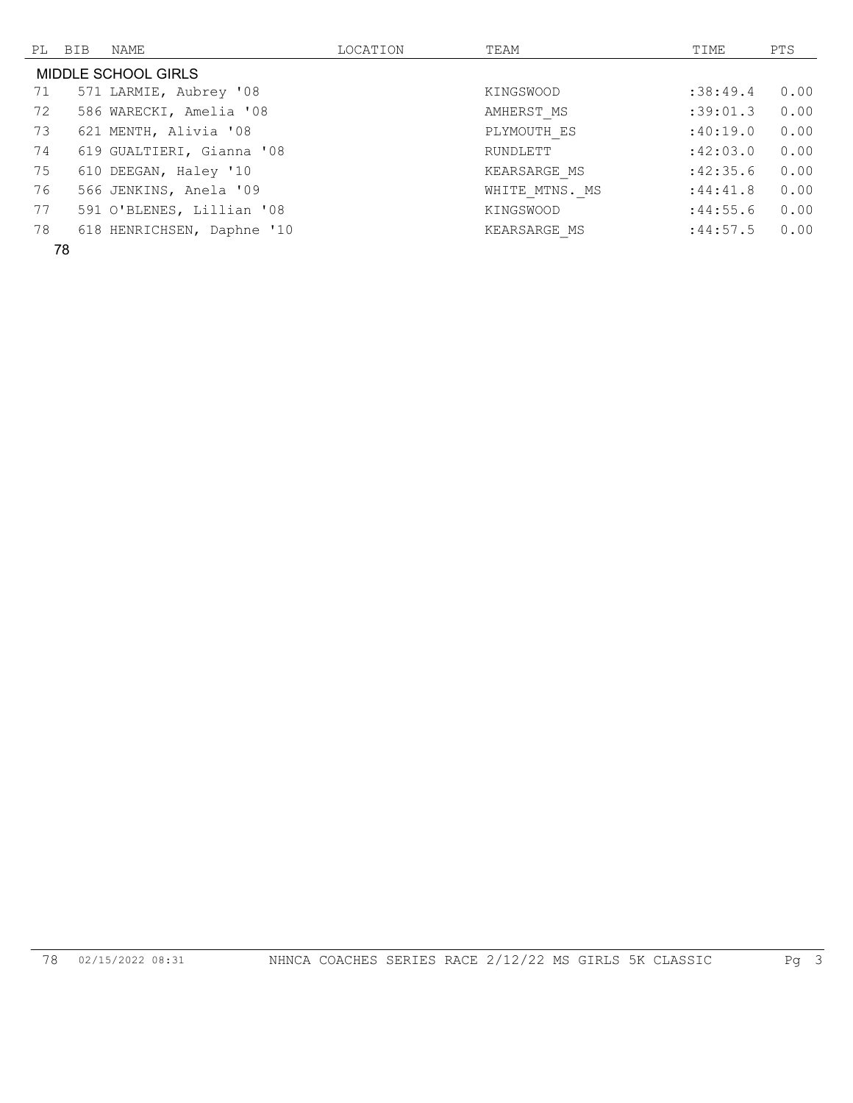|                     | PL BIB | NAME                       | LOCATION | TEAM           | TIME      | PTS  |  |  |
|---------------------|--------|----------------------------|----------|----------------|-----------|------|--|--|
| MIDDLE SCHOOL GIRLS |        |                            |          |                |           |      |  |  |
| 71                  |        | 571 LARMIE, Aubrey '08     |          | KINGSWOOD      | : 38:49.4 | 0.00 |  |  |
| 72                  |        | 586 WARECKI, Amelia '08    |          | AMHERST MS     | :39:01.3  | 0.00 |  |  |
| 73                  |        | 621 MENTH, Alivia '08      |          | PLYMOUTH ES    | :40:19.0  | 0.00 |  |  |
| 74                  |        | 619 GUALTIERI, Gianna '08  |          | RUNDLETT       | :42:03.0  | 0.00 |  |  |
| 75                  |        | 610 DEEGAN, Haley '10      |          | KEARSARGE MS   | :42:35.6  | 0.00 |  |  |
| 76                  |        | 566 JENKINS, Anela '09     |          | WHITE MTNS. MS | :44:41.8  | 0.00 |  |  |
| 77                  |        | 591 O'BLENES, Lillian '08  |          | KINGSWOOD      | :44:55.6  | 0.00 |  |  |
| 78                  |        | 618 HENRICHSEN, Daphne '10 |          | KEARSARGE MS   | :44:57.5  | 0.00 |  |  |
|                     |        |                            |          |                |           |      |  |  |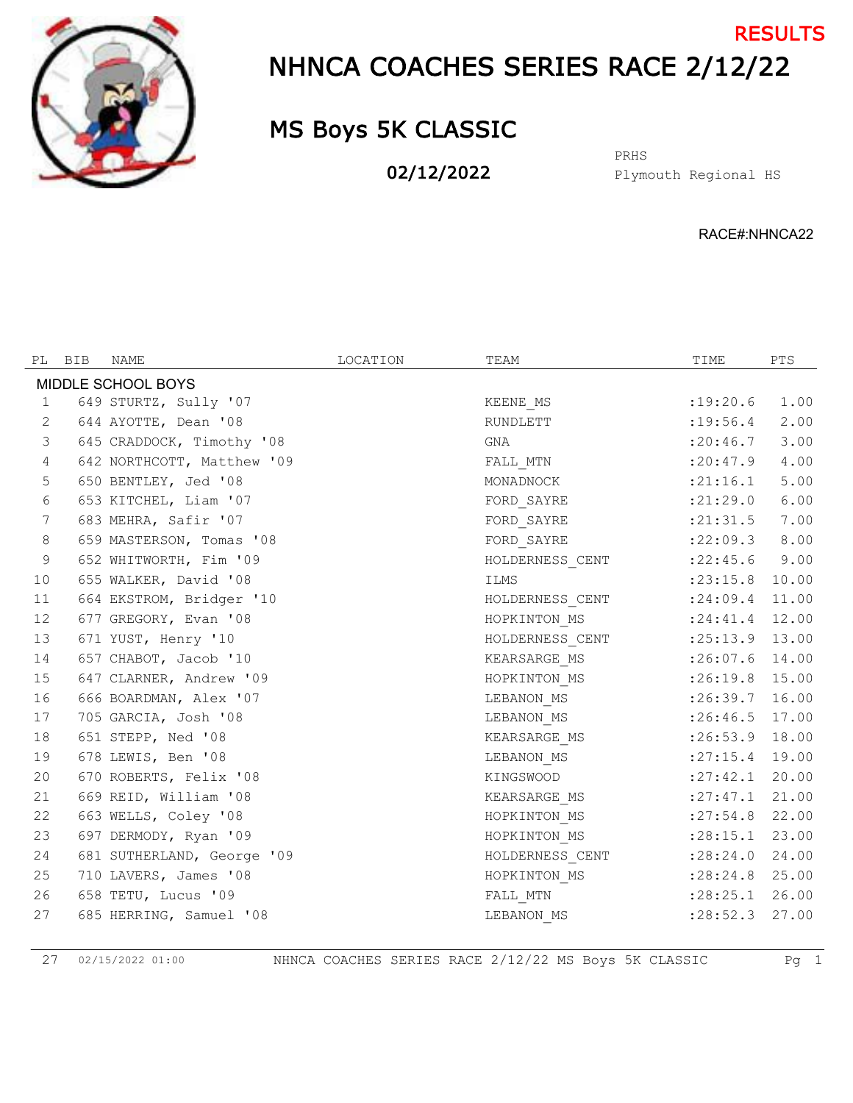

## NHNCA COACHES SERIES RACE 2/12/22 **RESULTS**

## MS Boys 5K CLASSIC

02/12/2022

Plymouth Regional HS PRHS

RACE#:NHNCA22

| PL                 | BIB | NAME                       | LOCATION | TEAM                     | TIME               | PTS   |  |  |
|--------------------|-----|----------------------------|----------|--------------------------|--------------------|-------|--|--|
| MIDDLE SCHOOL BOYS |     |                            |          |                          |                    |       |  |  |
| 1                  |     | 649 STURTZ, Sully '07      |          | KEENE MS                 | :19:20.6           | 1.00  |  |  |
| 2                  |     | 644 AYOTTE, Dean '08       |          | RUNDLETT                 | : 19:56.4          | 2.00  |  |  |
| 3                  |     | 645 CRADDOCK, Timothy '08  |          | GNA                      | : 20:46.7          | 3.00  |  |  |
| 4                  |     | 642 NORTHCOTT, Matthew '09 |          | FALL MTN                 | : 20: 47.9         | 4.00  |  |  |
| 5                  |     | 650 BENTLEY, Jed '08       |          | MONADNOCK                | : 21:16.1          | 5.00  |  |  |
| 6                  |     | 653 KITCHEL, Liam '07      |          | FORD_SAYRE               | : 21: 29.0         | 6.00  |  |  |
| 7                  |     | 683 MEHRA, Safir '07       |          | FORD SAYRE               | : 21: 31.5         | 7.00  |  |  |
| $8\,$              |     | 659 MASTERSON, Tomas '08   |          | FORD SAYRE               | : 22:09.3          | 8.00  |  |  |
| 9                  |     | 652 WHITWORTH, Fim '09     |          | HOLDERNESS CENT          | : 22: 45.6         | 9.00  |  |  |
| 10                 |     | 655 WALKER, David '08      |          | ILMS                     | $: 23:15.8$ 10.00  |       |  |  |
| 11                 |     | 664 EKSTROM, Bridger '10   |          | HOLDERNESS_CENT :24:09.4 |                    | 11.00 |  |  |
| 12                 |     | 677 GREGORY, Evan '08      |          | HOPKINTON MS             | $: 24:41.4$ 12.00  |       |  |  |
| 13                 |     | 671 YUST, Henry '10        |          | HOLDERNESS_CENT          | $:25:13.9$ 13.00   |       |  |  |
| 14                 |     | 657 CHABOT, Jacob '10      |          | KEARSARGE_MS             | $:26:07.6$ 14.00   |       |  |  |
| 15                 |     | 647 CLARNER, Andrew '09    |          | HOPKINTON MS             | $:26:19.8$ 15.00   |       |  |  |
| 16                 |     | 666 BOARDMAN, Alex '07     |          | LEBANON MS               | $:26:39.7$ 16.00   |       |  |  |
| 17                 |     | 705 GARCIA, Josh '08       |          | LEBANON MS               | $:26:46.5$ 17.00   |       |  |  |
| 18                 |     | 651 STEPP, Ned '08         |          | KEARSARGE MS             | $:26:53.9$ 18.00   |       |  |  |
| 19                 |     | 678 LEWIS, Ben '08         |          | LEBANON MS               | $: 27:15.4$ 19.00  |       |  |  |
| 20                 |     | 670 ROBERTS, Felix '08     |          | KINGSWOOD                | $: 27: 42.1$ 20.00 |       |  |  |
| 21                 |     | 669 REID, William '08      |          | KEARSARGE MS             | : 27: 47.1         | 21.00 |  |  |
| 22                 |     | 663 WELLS, Coley '08       |          | HOPKINTON_MS             | $: 27:54.8$ 22.00  |       |  |  |
| 23                 |     | 697 DERMODY, Ryan '09      |          | HOPKINTON MS             | $: 28:15.1$ 23.00  |       |  |  |
| 24                 |     | 681 SUTHERLAND, George '09 |          | HOLDERNESS_CENT          | : 28:24.0 24.00    |       |  |  |
| 25                 |     | 710 LAVERS, James '08      |          | HOPKINTON MS             | $: 28:24.8$ 25.00  |       |  |  |
| 26                 |     | 658 TETU, Lucus '09        |          | FALL_MTN                 | $: 28: 25.1$ 26.00 |       |  |  |
| 27                 |     | 685 HERRING, Samuel '08    |          | LEBANON MS               | : 28:52.3          | 27.00 |  |  |

02/15/2022 01:00 NHNCA COACHES SERIES RACE 2/12/22 MS Boys 5K CLASSIC Pg 1